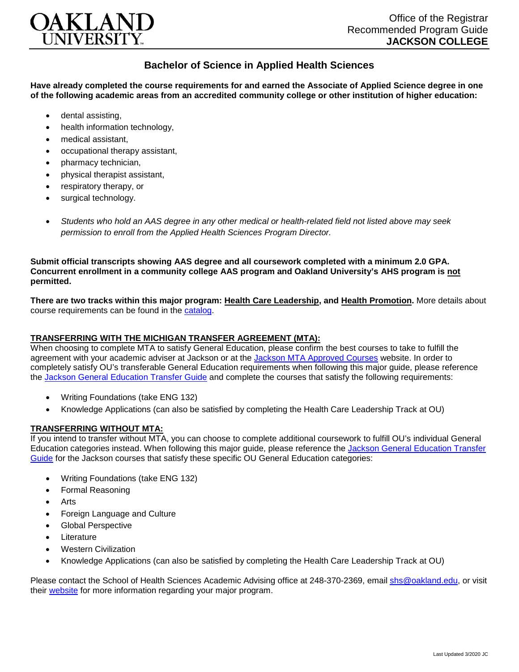

## **Bachelor of Science in Applied Health Sciences**

**Have already completed the course requirements for and earned the Associate of Applied Science degree in one of the following academic areas from an accredited community college or other institution of higher education:**

- dental assisting,
- health information technology.
- medical assistant,
- occupational therapy assistant,
- pharmacy technician,
- physical therapist assistant,
- respiratory therapy, or
- surgical technology.
- *Students who hold an AAS degree in any other medical or health-related field not listed above may seek permission to enroll from the Applied Health Sciences Program Director.*

**Submit official transcripts showing AAS degree and all coursework completed with a minimum 2.0 GPA. Concurrent enrollment in a community college AAS program and Oakland University's AHS program is not permitted.**

**There are two tracks within this major program: Health Care Leadership, and Health Promotion.** More details about course requirements can be found in the [catalog.](http://catalog.oakland.edu/preview_program.php?catoid=44&poid=6779)

## **TRANSFERRING WITH THE MICHIGAN TRANSFER AGREEMENT (MTA):**

When choosing to complete MTA to satisfy General Education, please confirm the best courses to take to fulfill the agreement with your academic adviser at Jackson or at the [Jackson MTA Approved Courses](https://www.jccmi.edu/transfer/michigan-transfer-agreement/) website. In order to completely satisfy OU's transferable General Education requirements when following this major guide, please reference the [Jackson General Education Transfer Guide](https://www.oakland.edu/Assets/Oakland/program-guides/jackson-college/university-general-education-requirements/Jackson%20Gen%20Ed.pdf) and complete the courses that satisfy the following requirements:

- Writing Foundations (take ENG 132)
- Knowledge Applications (can also be satisfied by completing the Health Care Leadership Track at OU)

## **TRANSFERRING WITHOUT MTA:**

If you intend to transfer without MTA, you can choose to complete additional coursework to fulfill OU's individual General Education categories instead. When following this major guide, please reference the Jackson General Education Transfer [Guide](https://www.oakland.edu/Assets/Oakland/program-guides/jackson-college/university-general-education-requirements/Jackson%20Gen%20Ed.pdf) for the Jackson courses that satisfy these specific OU General Education categories:

- Writing Foundations (take ENG 132)
- Formal Reasoning
- Arts
- Foreign Language and Culture
- Global Perspective
- **Literature**
- Western Civilization
- Knowledge Applications (can also be satisfied by completing the Health Care Leadership Track at OU)

Please contact the School of Health Sciences Academic Advising office at 248-370-2369, email [shs@oakland.edu,](mailto:shs@oakland.edu) or visit their [website](http://www.oakland.edu/shs/advising) for more information regarding your major program.